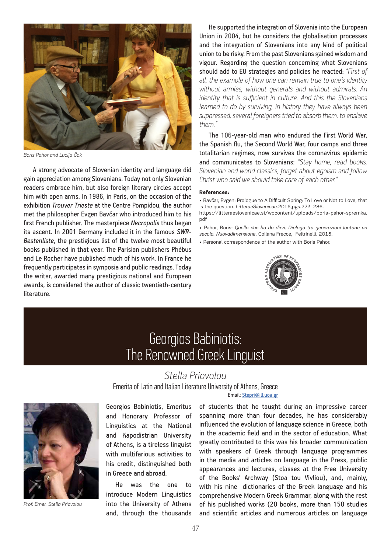

*Boris Pahor and Lucija Čok*

A strong advocate of Slovenian identity and language did gain appreciation among Slovenians. Today not only Slovenian readers embrace him, but also foreign literary circles accept him with open arms. In 1986, in Paris, on the occasion of the exhibition *Trouver Trieste* at the Centre Pompidou, the author met the philosopher Evgen Bavčar who introduced him to his first French publisher. The masterpiece *Necropolis* thus began its ascent. In 2001 Germany included it in the famous *SWR-Bestenliste*, the prestigious list of the twelve most beautiful books published in that year. The Parisian publishers Phébus and Le Rocher have published much of his work. In France he frequently participates in symposia and public readings. Today the writer, awarded many prestigious national and European awards, is considered the author of classic twentieth-century literature.

He supported the integration of Slovenia into the European Union in 2004, but he considers the globalisation processes and the integration of Slovenians into any kind of political union to be risky. From the past Slovenians gained wisdom and vigour. Regarding the question concerning what Slovenians should add to EU strategies and policies he reacted: *"First of all, the example of how one can remain true to one's identity without armies, without generals and without admirals. An identity that is sufficient in culture. And this the Slovenians learned to do by surviving, in history they have always been suppressed, several foreigners tried to absorb them, to enslave them."*

The 106-year-old man who endured the First World War, the Spanish flu, the Second World War, four camps and three totalitarian regimes, now survives the coronavirus epidemic and communicates to Slovenians: *"Stay home, read books, Slovenian and world classics, forget about egoism and follow Christ who said we should take care of each other."*

## **References:**

• Bavčar, Evgen: Prologue to A Difficult Spring: To Love or Not to Love, that Is the question. *LitteraeSlovenicae*.2016,pgs.273-286. https://litteraeslovenicae.si/wpcontent/uploads/boris-pahor-spremka.

pdf • Pahor, Boris: *Quello che ho da dirvi. Dialogo tra generazioni lontane un secolo. Nuovadimensione*. Collana Frecce, Feltrinelli. 2015.

• Personal correspondence of the author with Boris Pahor.



## Georgios Babiniotis: The Renowned Greek Linguist

## *Stella Priovolou*

Emerita of Latin and Italian Literature University of Athens, Greece Email: [Stepri@ill.uoa.gr](mailto:Stepri@ill.uoa.gr )



*Prof. Emer. Stella Priovolou*

Georgios Babiniotis, Emeritus and Honorary Professor of Linguistics at the National and Kapodistrian University of Athens, is a tireless linguist with multifarious activities to his credit, distinguished both in Greece and abroad.

He was the one to introduce Modern Linguistics into the University of Athens and, through the thousands

of students that he taught during an impressive career spanning more than four decades, he has considerably influenced the evolution of language science in Greece, both in the academic field and in the sector of education. What greatly contributed to this was his broader communication with speakers of Greek through language programmes in the media and articles on language in the Press, public appearances and lectures, classes at the Free University of the Books' Archway (Stoa tou Vivliou), and, mainly, with his nine dictionaries of the Greek language and his comprehensive Modern Greek Grammar, along with the rest of his published works (20 books, more than 150 studies and scientific articles and numerous articles on language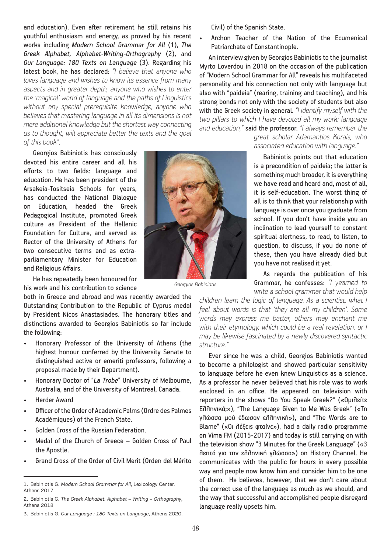and education). Even after retirement he still retains his youthful enthusiasm and energy, as proved by his recent works including *Modern School Grammar for All* (1), *The Greek Alphabet, Alphabet-Writing-Orthography* (2), and *Our Language: 180 Texts on Language* (3). Regarding his latest book, he has declared: *"I believe that anyone who loves language and wishes to know its essence from many aspects and in greater depth, anyone who wishes to enter the 'magical' world of language and the paths of Linguistics without any special prerequisite knowledge, anyone who believes that mastering language in all its dimensions is not mere additional knowledge but the shortest way connecting us to thought, will appreciate better the texts and the goal of this book"*.

Georgios Babiniotis has consciously devoted his entire career and all his efforts to two fields: language and education. He has been president of the Arsakeia-Tositseia Schools for years, has conducted the National Dialogue on Education, headed the Greek Pedagogical Institute, promoted Greek culture as President of the Hellenic Foundation for Culture, and served as Rector of the University of Athens for two consecutive terms and as extraparliamentary Minister for Education and Religious Affairs.

He has repeatedly been honoured for his work and his contribution to science

both in Greece and abroad and was recently awarded the Outstanding Contribution to the Republic of Cyprus medal by President Nicos Anastasiades. The honorary titles and distinctions awarded to Georgios Babiniotis so far include the following:

- Honorary Professor of the University of Athens (the highest honour conferred by the University Senate to distinguished active or emeriti professors, following a proposal made by their Department).
- Honorary Doctor of "*La Trobe*" University of Melbourne, Australia, and of the University of Montreal, Canada.
- Herder Award
- Officer of the Order of Academic Palms (Ordre des Palmes Académiques) of the French State.
- Golden Cross of the Russian Federation.
- Medal of the Church of Greece Golden Cross of Paul the Apostle.
- Grand Cross of the Order of Civil Merit (Orden del Mérito

*Georgios Babiniotis*

Civil) of the Spanish State.

Archon Teacher of the Nation of the Ecumenical Patriarchate of Constantinople.

An interview given by Georgios Babiniotis to the journalist Myrto Loverdou in 2018 on the occasion of the publication of "Modern School Grammar for All" reveals his multifaceted personality and his connection not only with language but also with "paideia" (rearing, training and teaching), and his strong bonds not only with the society of students but also with the Greek society in general. *"I identify myself with the two pillars to which I have devoted all my work: language and education,"* said the professor. *"I always remember the* 

> *great scholar Adamantios Korais, who associated education with language."*

> Babiniotis points out that education is a precondition of paideia; the latter is something much broader, it is everything we have read and heard and, most of all, it is self-education. The worst thing of all is to think that your relationship with language is over once you graduate from school. If you don't have inside you an inclination to lead yourself to constant spiritual alertness, to read, to listen, to question, to discuss, if you do none of these, then you have already died but you have not realised it yet.

> As regards the publication of his Grammar, he confesses: *"I yearned to write a school grammar that would help*

*children learn the logic of language. As a scientist, what I feel about words is that 'they are all my children'. Some words may express me better, others may enchant me with their etymology, which could be a real revelation, or I may be likewise fascinated by a newly discovered syntactic structure."*

Ever since he was a child, Georgios Babiniotis wanted to become a philologist and showed particular sensitivity to language before he even knew Linguistics as a science. As a professor he never believed that his role was to work enclosed in an office. He appeared on television with reporters in the shows "Do You Speak Greek?" («Ομιλείτε Ελληνικά;»), "The Language Given to Me Was Greek" («Τη γλώσσα μού έδωσαν ελληνική»), and "The Words are to Blame" («Οι λέξεις φταίνε»), had a daily radio programme on Vima FM (2015-2017) and today is still carrying on with the television show "3 Minutes for the Greek Language" («3 λεπτά για την ελληνική γλώσσα») on History Channel. He communicates with the public for hours in every possible way and people now know him and consider him to be one of them. He believes, however, that we don't care about the correct use of the language as much as we should, and the way that successful and accomplished people disregard language really upsets him.

<sup>1.</sup> Babiniotis G. *Modern School Grammar for All*, Lexicology Center, Athens 2017.

<sup>2.</sup> Babiniotis G. *The Greek Alphabet. Alphabet – Writing – Orthography*, Athens 2018

<sup>3.</sup> Babiniotis G. *Our Language : 180 Texts on Language*, Athens 2020.